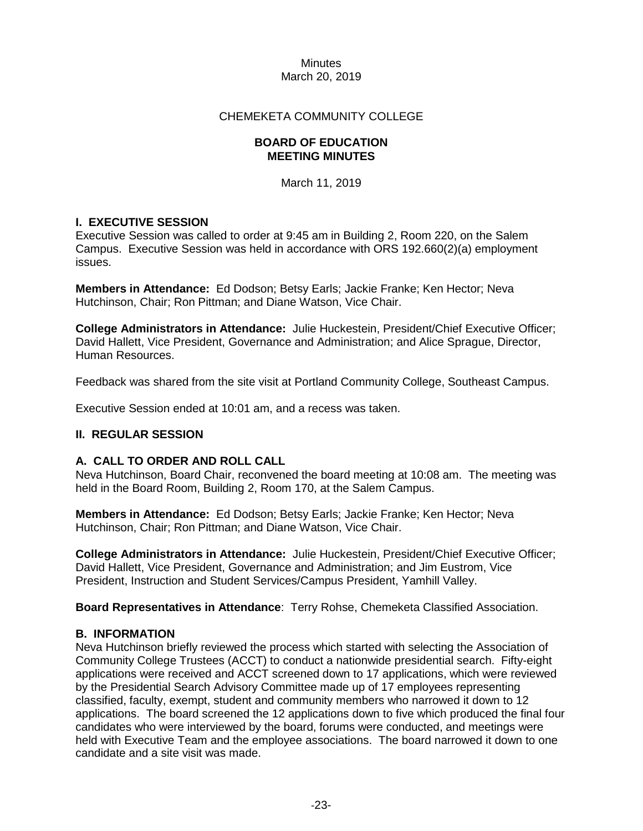#### Minutes March 20, 2019

#### CHEMEKETA COMMUNITY COLLEGE

#### **BOARD OF EDUCATION MEETING MINUTES**

March 11, 2019

## **I. EXECUTIVE SESSION**

Executive Session was called to order at 9:45 am in Building 2, Room 220, on the Salem Campus. Executive Session was held in accordance with ORS 192.660(2)(a) employment issues.

**Members in Attendance:** Ed Dodson; Betsy Earls; Jackie Franke; Ken Hector; Neva Hutchinson, Chair; Ron Pittman; and Diane Watson, Vice Chair.

**College Administrators in Attendance:** Julie Huckestein, President/Chief Executive Officer; David Hallett, Vice President, Governance and Administration; and Alice Sprague, Director, Human Resources.

Feedback was shared from the site visit at Portland Community College, Southeast Campus.

Executive Session ended at 10:01 am, and a recess was taken.

## **II. REGULAR SESSION**

## **A. CALL TO ORDER AND ROLL CALL**

Neva Hutchinson, Board Chair, reconvened the board meeting at 10:08 am. The meeting was held in the Board Room, Building 2, Room 170, at the Salem Campus.

**Members in Attendance:** Ed Dodson; Betsy Earls; Jackie Franke; Ken Hector; Neva Hutchinson, Chair; Ron Pittman; and Diane Watson, Vice Chair.

**College Administrators in Attendance:** Julie Huckestein, President/Chief Executive Officer; David Hallett, Vice President, Governance and Administration; and Jim Eustrom, Vice President, Instruction and Student Services/Campus President, Yamhill Valley.

**Board Representatives in Attendance**: Terry Rohse, Chemeketa Classified Association.

## **B. INFORMATION**

Neva Hutchinson briefly reviewed the process which started with selecting the Association of Community College Trustees (ACCT) to conduct a nationwide presidential search. Fifty-eight applications were received and ACCT screened down to 17 applications, which were reviewed by the Presidential Search Advisory Committee made up of 17 employees representing classified, faculty, exempt, student and community members who narrowed it down to 12 applications. The board screened the 12 applications down to five which produced the final four candidates who were interviewed by the board, forums were conducted, and meetings were held with Executive Team and the employee associations. The board narrowed it down to one candidate and a site visit was made.